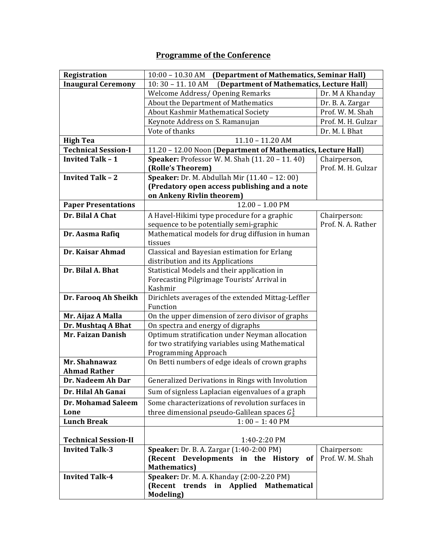## **Programme of the Conference**

| Registration                | (Department of Mathematics, Seminar Hall)<br>$10:00$ – $10.30$ AM                   |                    |
|-----------------------------|-------------------------------------------------------------------------------------|--------------------|
| <b>Inaugural Ceremony</b>   | (Department of Mathematics, Lecture Hall)<br>$10:30 - 11.10$ AM                     |                    |
|                             | <b>Welcome Address/ Opening Remarks</b>                                             | Dr. M A Khanday    |
|                             | About the Department of Mathematics                                                 | Dr. B. A. Zargar   |
|                             | About Kashmir Mathematical Society                                                  | Prof. W. M. Shah   |
|                             | Keynote Address on S. Ramanujan                                                     | Prof. M. H. Gulzar |
|                             | Vote of thanks                                                                      | Dr. M. I. Bhat     |
| <b>High Tea</b>             | $11.10 - 11.20$ AM                                                                  |                    |
| <b>Technical Session-I</b>  | 11.20 - 12.00 Noon (Department of Mathematics, Lecture Hall)                        |                    |
| <b>Invited Talk - 1</b>     | Speaker: Professor W. M. Shah (11. 20 - 11. 40)                                     | Chairperson,       |
|                             | (Rolle's Theorem)                                                                   | Prof. M. H. Gulzar |
| <b>Invited Talk - 2</b>     | Speaker: Dr. M. Abdullah Mir (11.40 - 12: 00)                                       |                    |
|                             | (Predatory open access publishing and a note                                        |                    |
|                             | on Ankeny Rivlin theorem)                                                           |                    |
| <b>Paper Presentations</b>  | $12.00 - 1.00$ PM                                                                   |                    |
| Dr. Bilal A Chat            | A Havel-Hikimi type procedure for a graphic                                         | Chairperson:       |
|                             | sequence to be potentially semi-graphic                                             | Prof. N. A. Rather |
| Dr. Aasma Rafiq             | Mathematical models for drug diffusion in human                                     |                    |
|                             | tissues                                                                             |                    |
| Dr. Kaisar Ahmad            | Classical and Bayesian estimation for Erlang                                        |                    |
|                             | distribution and its Applications                                                   |                    |
| Dr. Bilal A. Bhat           | Statistical Models and their application in                                         |                    |
|                             | Forecasting Pilgrimage Tourists' Arrival in<br>Kashmir                              |                    |
| Dr. Farooq Ah Sheikh        | Dirichlets averages of the extended Mittag-Leffler                                  |                    |
|                             | Function                                                                            |                    |
| Mr. Aijaz A Malla           | On the upper dimension of zero divisor of graphs                                    |                    |
| Dr. Mushtaq A Bhat          | On spectra and energy of digraphs                                                   |                    |
| Mr. Faizan Danish           | Optimum stratification under Neyman allocation                                      |                    |
|                             | for two stratifying variables using Mathematical                                    |                    |
|                             | Programming Approach                                                                |                    |
| Mr. Shahnawaz               | On Betti numbers of edge ideals of crown graphs                                     |                    |
| <b>Ahmad Rather</b>         |                                                                                     |                    |
| Dr. Nadeem Ah Dar           | Generalized Derivations in Rings with Involution                                    |                    |
| Dr. Hilal Ah Ganai          | Sum of signless Laplacian eigenvalues of a graph                                    |                    |
| Dr. Mohamad Saleem          | Some characterizations of revolution surfaces in                                    |                    |
| Lone                        | three dimensional pseudo-Galilean spaces $G_3^1$                                    |                    |
| <b>Lunch Break</b>          | $1:00 - 1:40$ PM                                                                    |                    |
|                             |                                                                                     |                    |
| <b>Technical Session-II</b> | 1:40-2:20 PM                                                                        |                    |
| <b>Invited Talk-3</b>       | Speaker: Dr. B. A. Zargar (1:40-2:00 PM)                                            | Chairperson:       |
|                             | (Recent Developments in the History of                                              | Prof. W. M. Shah   |
|                             | <b>Mathematics</b> )                                                                |                    |
| <b>Invited Talk-4</b>       | Speaker: Dr. M. A. Khanday (2:00-2.20 PM)<br>(Recent trends in Applied Mathematical |                    |
|                             |                                                                                     |                    |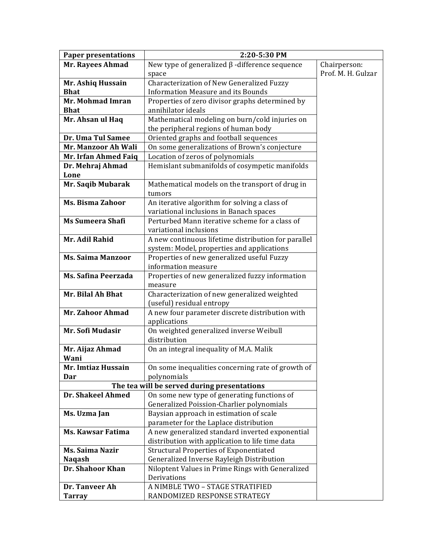| <b>Paper presentations</b> | 2:20-5:30 PM                                         |                    |
|----------------------------|------------------------------------------------------|--------------------|
| <b>Mr. Rayees Ahmad</b>    | New type of generalized $\beta$ -difference sequence | Chairperson:       |
|                            | space                                                | Prof. M. H. Gulzar |
| Mr. Ashiq Hussain          | Characterization of New Generalized Fuzzy            |                    |
| <b>Bhat</b>                | <b>Information Measure and its Bounds</b>            |                    |
| Mr. Mohmad Imran           | Properties of zero divisor graphs determined by      |                    |
| <b>Bhat</b>                | annihilator ideals                                   |                    |
| Mr. Ahsan ul Haq           | Mathematical modeling on burn/cold injuries on       |                    |
|                            | the peripheral regions of human body                 |                    |
| Dr. Uma Tul Samee          | Oriented graphs and football sequences               |                    |
| Mr. Manzoor Ah Wali        | On some generalizations of Brown's conjecture        |                    |
| Mr. Irfan Ahmed Faiq       | Location of zeros of polynomials                     |                    |
| Dr. Mehraj Ahmad           | Hemislant submanifolds of cosympetic manifolds       |                    |
| Lone                       |                                                      |                    |
| Mr. Saqib Mubarak          | Mathematical models on the transport of drug in      |                    |
|                            | tumors                                               |                    |
| <b>Ms. Bisma Zahoor</b>    | An iterative algorithm for solving a class of        |                    |
|                            | variational inclusions in Banach spaces              |                    |
| <b>Ms Sumeera Shafi</b>    | Perturbed Mann iterative scheme for a class of       |                    |
|                            | variational inclusions                               |                    |
| Mr. Adil Rahid             | A new continuous lifetime distribution for parallel  |                    |
|                            | system: Model, properties and applications           |                    |
| <b>Ms. Saima Manzoor</b>   | Properties of new generalized useful Fuzzy           |                    |
|                            | information measure                                  |                    |
| Ms. Safina Peerzada        | Properties of new generalized fuzzy information      |                    |
|                            | measure                                              |                    |
| Mr. Bilal Ah Bhat          | Characterization of new generalized weighted         |                    |
|                            | (useful) residual entropy                            |                    |
| Mr. Zahoor Ahmad           | A new four parameter discrete distribution with      |                    |
|                            | applications                                         |                    |
| Mr. Sofi Mudasir           | On weighted generalized inverse Weibull              |                    |
|                            | distribution                                         |                    |
| Mr. Aijaz Ahmad            | On an integral inequality of M.A. Malik              |                    |
| Wani                       |                                                      |                    |
| Mr. Imtiaz Hussain         | On some inequalities concerning rate of growth of    |                    |
| Dar                        | polynomials                                          |                    |
|                            | The tea will be served during presentations          |                    |
| Dr. Shakeel Ahmed          | On some new type of generating functions of          |                    |
|                            | Generalized Poission-Charlier polynomials            |                    |
| Ms. Uzma Jan               | Baysian approach in estimation of scale              |                    |
|                            | parameter for the Laplace distribution               |                    |
| <b>Ms. Kawsar Fatima</b>   | A new generalized standard inverted exponential      |                    |
|                            | distribution with application to life time data      |                    |
| <b>Ms. Saima Nazir</b>     | <b>Structural Properties of Exponentiated</b>        |                    |
| <b>Naqash</b>              | Generalized Inverse Rayleigh Distribution            |                    |
| Dr. Shahoor Khan           | Niloptent Values in Prime Rings with Generalized     |                    |
|                            | Derivations                                          |                    |
| Dr. Tanveer Ah             | A NIMBLE TWO - STAGE STRATIFIED                      |                    |
| <b>Tarray</b>              | RANDOMIZED RESPONSE STRATEGY                         |                    |